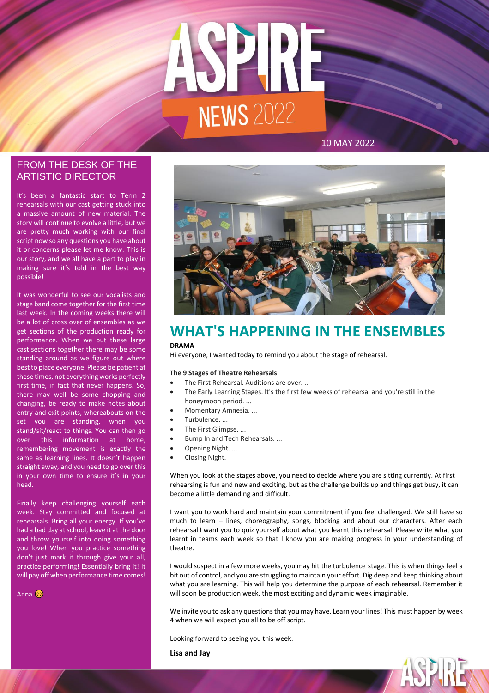

### 10 MAY 2022

# ARTISTIC DIRECTOR FROM THE DESK OF THE

It's been a fantastic start to Term 2 rehearsals with our cast getting stuck into a massive amount of new material. The story will continue to evolve a little, but we are pretty much working with our final script now so any questions you have about it or concerns please let me know. This is our story, and we all have a part to play in making sure it's told in the best way possible!

It was wonderful to see our vocalists and stage band come together for the first time last week. In the coming weeks there will be a lot of cross over of ensembles as we get sections of the production ready for performance. When we put these large cast sections together there may be some standing around as we figure out where best to place everyone. Please be patient at these times, not everything works perfectly first time, in fact that never happens. So, there may well be some chopping and changing, be ready to make notes about entry and exit points, whereabouts on the set you are standing, when you stand/sit/react to things. You can then go over this information at home, remembering movement is exactly the same as learning lines. It doesn't happen straight away, and you need to go over this in your own time to ensure it's in your head.

Finally keep challenging yourself each week. Stay committed and focused at rehearsals. Bring all your energy. If you've had a bad day at school, leave it at the door and throw yourself into doing something you love! When you practice something don't just mark it through give your all, practice performing! Essentially bring it! It will pay off when performance time comes!

Anna **C** 



# **WHAT'S HAPPENING IN THE ENSEMBLES DRAMA**

Hi everyone, I wanted today to remind you about the stage of rehearsal.

#### **The 9 Stages of Theatre Rehearsals**

- The First Rehearsal. Auditions are over. ...
- The Early Learning Stages. It's the first few weeks of rehearsal and you're still in the honeymoon period. ...
- Momentary Amnesia. ...
- Turbulence. ...
- The First Glimpse. ...
- Bump In and Tech Rehearsals. ...
- Opening Night. ...
- Closing Night.

When you look at the stages above, you need to decide where you are sitting currently. At first rehearsing is fun and new and exciting, but as the challenge builds up and things get busy, it can become a little demanding and difficult.

I want you to work hard and maintain your commitment if you feel challenged. We still have so much to learn – lines, choreography, songs, blocking and about our characters. After each rehearsal I want you to quiz yourself about what you learnt this rehearsal. Please write what you learnt in teams each week so that I know you are making progress in your understanding of theatre.

I would suspect in a few more weeks, you may hit the turbulence stage. This is when things feel a bit out of control, and you are struggling to maintain your effort. Dig deep and keep thinking about what you are learning. This will help you determine the purpose of each rehearsal. Remember it will soon be production week, the most exciting and dynamic week imaginable.

We invite you to ask any questions that you may have. Learn your lines! This must happen by week 4 when we will expect you all to be off script.

ASPINE

Looking forward to seeing you this week.

**Lisa and Jay**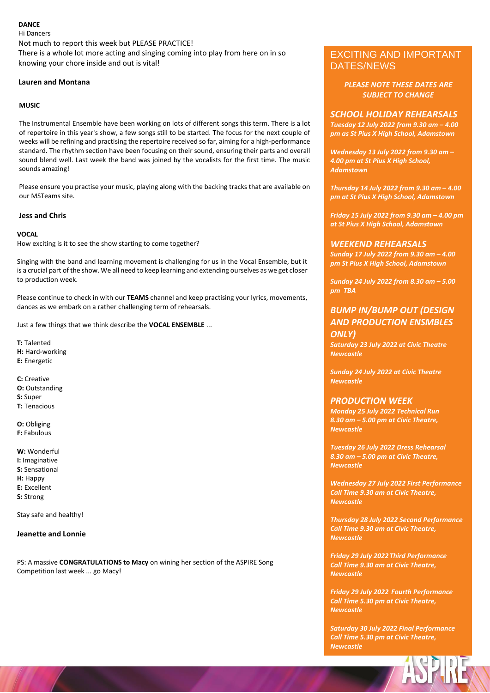#### **DANCE**

Hi Dancers Not much to report this week but PLEASE PRACTICE! There is a whole lot more acting and singing coming into play from here on in so knowing your chore inside and out is vital!

#### **Lauren and Montana**

#### **MUSIC**

The Instrumental Ensemble have been working on lots of different songs this term. There is a lot of repertoire in this year's show, a few songs still to be started. The focus for the next couple of weeks will be refining and practising the repertoire received so far, aiming for a high-performance standard. The rhythm section have been focusing on their sound, ensuring their parts and overall sound blend well. Last week the band was joined by the vocalists for the first time. The music sounds amazing!

Please ensure you practise your music, playing along with the backing tracks that are available on our MSTeams site.

#### **Jess and Chris**

#### **VOCAL**

How exciting is it to see the show starting to come together?

Singing with the band and learning movement is challenging for us in the Vocal Ensemble, but it is a crucial part of the show. We all need to keep learning and extending ourselves as we get closer to production week.

Please continue to check in with our **TEAMS** channel and keep practising your lyrics, movements, dances as we embark on a rather challenging term of rehearsals.

Just a few things that we think describe the **VOCAL ENSEMBLE** ...

**T:** Talented **H:** Hard-working **E:** Energetic

**C:** Creative **O:** Outstanding **S:** Super **T:** Tenacious

**O:** Obliging **F:** Fabulous

**W:** Wonderful **I:** Imaginative **S:** Sensational **H:** Happy **E:** Excellent **S:** Strong

Stay safe and healthy!

#### **Jeanette and Lonnie**

PS: A massive **CONGRATULATIONS to Macy** on wining her section of the ASPIRE Song Competition last week ... go Macy!

# EXCITING AND IMPORTANT DATES/NEWS

*PLEASE NOTE THESE DATES ARE SUBJECT TO CHANGE*

#### *SCHOOL HOLIDAY REHEARSALS*

*Tuesday 12 July 2022 from 9.30 am – 4.00 pm as St Pius X High School, Adamstown*

*Wednesday 13 July 2022 from 9.30 am – 4.00 pm at St Pius X High School, Adamstown*

*Thursday 14 July 2022 from 9.30 am – 4.00 pm at St Pius X High School, Adamstown*

*Friday 15 July 2022 from 9.30 am – 4.00 pm at St Pius X High School, Adamstown*

#### *WEEKEND REHEARSALS*

*Sunday 17 July 2022 from 9.30 am – 4.00 pm St Pius X High School, Adamstown*

*Sunday 24 July 2022 from 8.30 am – 5.00 pm TBA*

## *BUMP IN/BUMP OUT (DESIGN AND PRODUCTION ENSMBLES ONLY)*

*Saturday 23 July 2022 at Civic Theatre Newcastle*

*Sunday 24 July 2022 at Civic Theatre Newcastle*

#### *PRODUCTION WEEK*

*Monday 25 July 2022 Technical Run 8.30 am – 5.00 pm at Civic Theatre, Newcastle*

*Tuesday 26 July 2022 Dress Rehearsal 8.30 am – 5.00 pm at Civic Theatre, Newcastle*

*Wednesday 27 July 2022 First Performance Call Time 9.30 am at Civic Theatre, Newcastle*

*Thursday 28 July 2022 Second Performance Call Time 9.30 am at Civic Theatre, Newcastle*

*Friday 29 July 2022 Third Performance Call Time 9.30 am at Civic Theatre, Newcastle*

*Friday 29 July 2022 Fourth Performance Call Time 5.30 pm at Civic Theatre, Newcastle*

*Saturday 30 July 2022 Final Performance Call Time 5.30 pm at Civic Theatre, Newcastle*